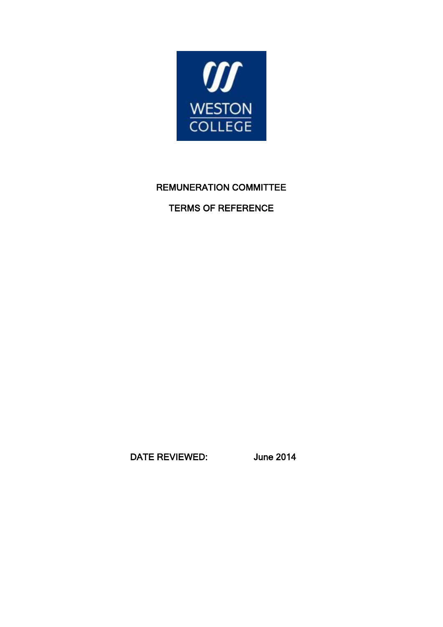

# REMUNERATION COMMITTEE

## TERMS OF REFERENCE

DATE REVIEWED: June 2014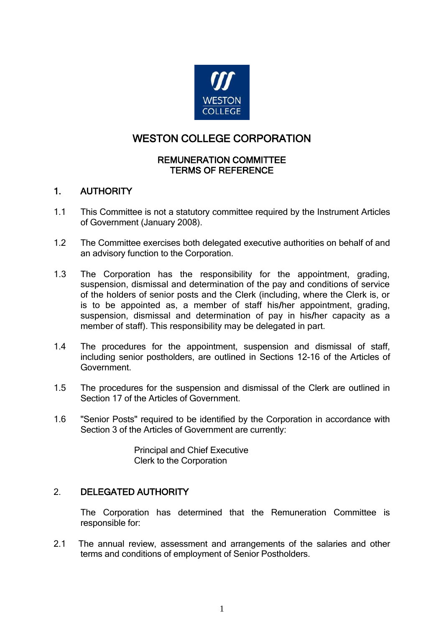

## WESTON COLLEGE CORPORATION

#### REMUNERATION COMMITTEE TERMS OF REFERENCE

## 1. AUTHORITY

- 1.1 This Committee is not a statutory committee required by the Instrument Articles of Government (January 2008).
- 1.2 The Committee exercises both delegated executive authorities on behalf of and an advisory function to the Corporation.
- 1.3 The Corporation has the responsibility for the appointment, grading, suspension, dismissal and determination of the pay and conditions of service of the holders of senior posts and the Clerk (including, where the Clerk is, or is to be appointed as, a member of staff his/her appointment, grading, suspension, dismissal and determination of pay in his/her capacity as a member of staff). This responsibility may be delegated in part.
- 1.4 The procedures for the appointment, suspension and dismissal of staff, including senior postholders, are outlined in Sections 12-16 of the Articles of Government.
- 1.5 The procedures for the suspension and dismissal of the Clerk are outlined in Section 17 of the Articles of Government.
- 1.6 "Senior Posts" required to be identified by the Corporation in accordance with Section 3 of the Articles of Government are currently:

Principal and Chief Executive Clerk to the Corporation

### 2. DELEGATED AUTHORITY

The Corporation has determined that the Remuneration Committee is responsible for:

2.1 The annual review, assessment and arrangements of the salaries and other terms and conditions of employment of Senior Postholders.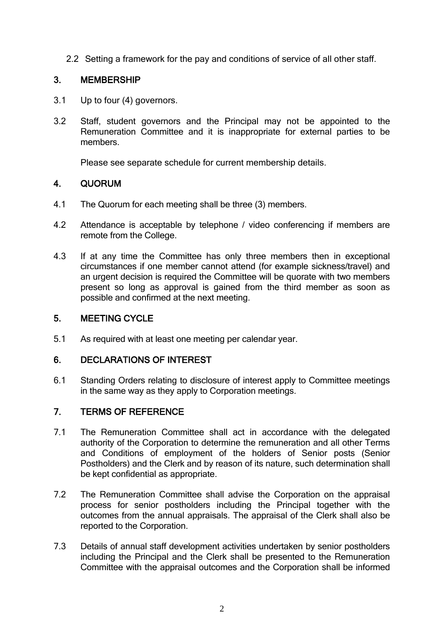2.2 Setting a framework for the pay and conditions of service of all other staff.

## 3. MEMBERSHIP

- 3.1 Up to four (4) governors.
- 3.2 Staff, student governors and the Principal may not be appointed to the Remuneration Committee and it is inappropriate for external parties to be members.

Please see separate schedule for current membership details.

## 4. QUORUM

- 4.1 The Quorum for each meeting shall be three (3) members.
- 4.2 Attendance is acceptable by telephone / video conferencing if members are remote from the College.
- 4.3 If at any time the Committee has only three members then in exceptional circumstances if one member cannot attend (for example sickness/travel) and an urgent decision is required the Committee will be quorate with two members present so long as approval is gained from the third member as soon as possible and confirmed at the next meeting.

## 5. MEETING CYCLE

5.1 As required with at least one meeting per calendar year.

### 6. DECLARATIONS OF INTEREST

6.1 Standing Orders relating to disclosure of interest apply to Committee meetings in the same way as they apply to Corporation meetings.

### 7. TERMS OF REFERENCE

- 7.1 The Remuneration Committee shall act in accordance with the delegated authority of the Corporation to determine the remuneration and all other Terms and Conditions of employment of the holders of Senior posts (Senior Postholders) and the Clerk and by reason of its nature, such determination shall be kept confidential as appropriate.
- 7.2 The Remuneration Committee shall advise the Corporation on the appraisal process for senior postholders including the Principal together with the outcomes from the annual appraisals. The appraisal of the Clerk shall also be reported to the Corporation.
- 7.3 Details of annual staff development activities undertaken by senior postholders including the Principal and the Clerk shall be presented to the Remuneration Committee with the appraisal outcomes and the Corporation shall be informed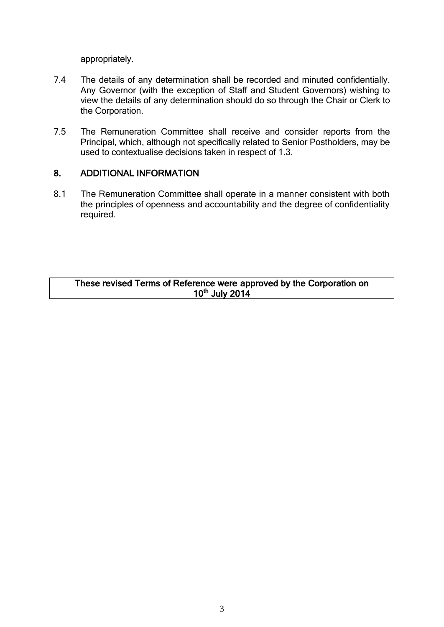appropriately.

- 7.4 The details of any determination shall be recorded and minuted confidentially. Any Governor (with the exception of Staff and Student Governors) wishing to view the details of any determination should do so through the Chair or Clerk to the Corporation.
- 7.5 The Remuneration Committee shall receive and consider reports from the Principal, which, although not specifically related to Senior Postholders, may be used to contextualise decisions taken in respect of 1.3.

#### 8. ADDITIONAL INFORMATION

8.1 The Remuneration Committee shall operate in a manner consistent with both the principles of openness and accountability and the degree of confidentiality required.

#### These revised Terms of Reference were approved by the Corporation on 10<sup>th</sup> July 2014